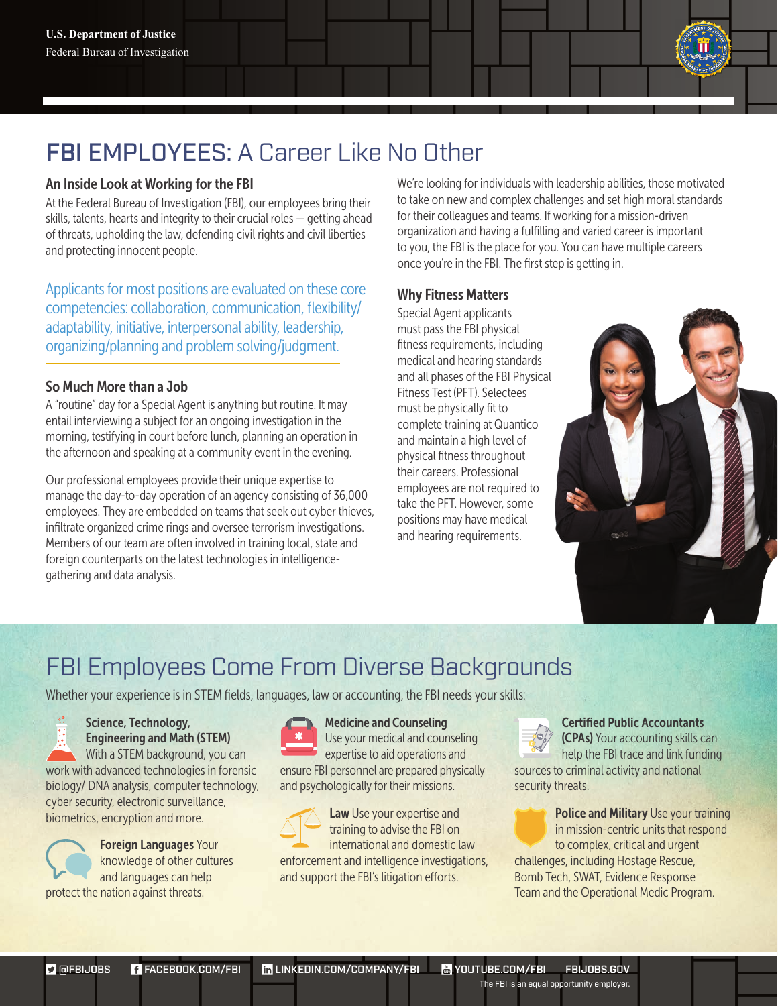### FBI EMPLOYEES: A Career Like No Other

#### An Inside Look at Working for the FBI

At the Federal Bureau of Investigation (FBI), our employees bring their skills, talents, hearts and integrity to their crucial roles — getting ahead of threats, upholding the law, defending civil rights and civil liberties and protecting innocent people.

Applicants for most positions are evaluated on these core competencies: collaboration, communication, flexibility/ adaptability, initiative, interpersonal ability, leadership, organizing/planning and problem solving/judgment.

#### So Much More than a Job

A "routine" day for a Special Agent is anything but routine. It may entail interviewing a subject for an ongoing investigation in the morning, testifying in court before lunch, planning an operation in the afternoon and speaking at a community event in the evening.

Our professional employees provide their unique expertise to manage the day-to-day operation of an agency consisting of 36,000 employees. They are embedded on teams that seek out cyber thieves, infiltrate organized crime rings and oversee terrorism investigations. Members of our team are often involved in training local, state and foreign counterparts on the latest technologies in intelligencegathering and data analysis.

We're looking for individuals with leadership abilities, those motivated to take on new and complex challenges and set high moral standards for their colleagues and teams. If working for a mission-driven organization and having a fulfilling and varied career is important to you, the FBI is the place for you. You can have multiple careers once you're in the FBI. The first step is getting in.

#### Why Fitness Matters

Special Agent applicants must pass the FBI physical fitness requirements, including medical and hearing standards and all phases of the FBI Physical Fitness Test (PFT). Selectees must be physically fit to complete training at Quantico and maintain a high level of physical fitness throughout their careers. Professional employees are not required to take the PFT. However, some positions may have medical and hearing requirements.



## FBI Employees Come From Diverse Backgrounds

Whether your experience is in STEM fields, languages, law or accounting, the FBI needs your skills:

### Science, Technology,

Engineering and Math (STEM) With a STEM background, you can work with advanced technologies in forensic biology/ DNA analysis, computer technology, cyber security, electronic surveillance, biometrics, encryption and more.



Foreign Languages Your knowledge of other cultures and languages can help protect the nation against threats.



Medicine and Counseling Use your medical and counseling expertise to aid operations and ensure FBI personnel are prepared physically and psychologically for their missions.



Law Use your expertise and training to advise the FBI on international and domestic law enforcement and intelligence investigations, and support the FBI's litigation efforts.



#### Certified Public Accountants

(CPAs) Your accounting skills can help the FBI trace and link funding sources to criminal activity and national security threats.

**Police and Military Use your training** in mission-centric units that respond to complex, critical and urgent challenges, including Hostage Rescue, Bomb Tech, SWAT, Evidence Response Team and the Operational Medic Program.